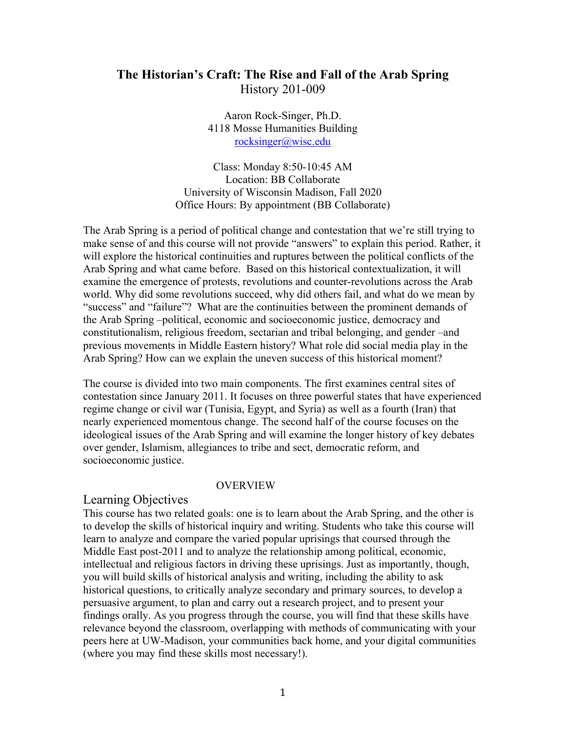# **The Historian's Craft: The Rise and Fall of the Arab Spring**  History 201-009

Aaron Rock-Singer, Ph.D. 4118 Mosse Humanities Building rocksinger@wisc.edu

Class: Monday 8:50-10:45 AM Location: BB Collaborate University of Wisconsin Madison, Fall 2020 Office Hours: By appointment (BB Collaborate)

The Arab Spring is a period of political change and contestation that we're still trying to make sense of and this course will not provide "answers" to explain this period. Rather, it will explore the historical continuities and ruptures between the political conflicts of the Arab Spring and what came before. Based on this historical contextualization, it will examine the emergence of protests, revolutions and counter-revolutions across the Arab world. Why did some revolutions succeed, why did others fail, and what do we mean by "success" and "failure"? What are the continuities between the prominent demands of the Arab Spring –political, economic and socioeconomic justice, democracy and constitutionalism, religious freedom, sectarian and tribal belonging, and gender –and previous movements in Middle Eastern history? What role did social media play in the Arab Spring? How can we explain the uneven success of this historical moment?

The course is divided into two main components. The first examines central sites of contestation since January 2011. It focuses on three powerful states that have experienced regime change or civil war (Tunisia, Egypt, and Syria) as well as a fourth (Iran) that nearly experienced momentous change. The second half of the course focuses on the ideological issues of the Arab Spring and will examine the longer history of key debates over gender, Islamism, allegiances to tribe and sect, democratic reform, and socioeconomic justice.

#### OVERVIEW

#### Learning Objectives

This course has two related goals: one is to learn about the Arab Spring, and the other is to develop the skills of historical inquiry and writing. Students who take this course will learn to analyze and compare the varied popular uprisings that coursed through the Middle East post-2011 and to analyze the relationship among political, economic, intellectual and religious factors in driving these uprisings. Just as importantly, though, you will build skills of historical analysis and writing, including the ability to ask historical questions, to critically analyze secondary and primary sources, to develop a persuasive argument, to plan and carry out a research project, and to present your findings orally. As you progress through the course, you will find that these skills have relevance beyond the classroom, overlapping with methods of communicating with your peers here at UW-Madison, your communities back home, and your digital communities (where you may find these skills most necessary!).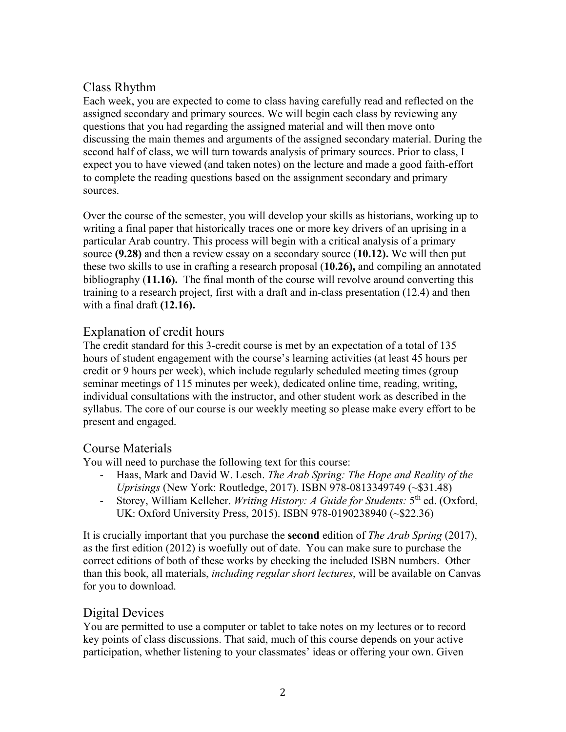# Class Rhythm

Each week, you are expected to come to class having carefully read and reflected on the assigned secondary and primary sources. We will begin each class by reviewing any questions that you had regarding the assigned material and will then move onto discussing the main themes and arguments of the assigned secondary material. During the second half of class, we will turn towards analysis of primary sources. Prior to class, I expect you to have viewed (and taken notes) on the lecture and made a good faith-effort to complete the reading questions based on the assignment secondary and primary sources.

Over the course of the semester, you will develop your skills as historians, working up to writing a final paper that historically traces one or more key drivers of an uprising in a particular Arab country. This process will begin with a critical analysis of a primary source **(9.28)** and then a review essay on a secondary source (**10.12).** We will then put these two skills to use in crafting a research proposal (**10.26),** and compiling an annotated bibliography (**11.16).** The final month of the course will revolve around converting this training to a research project, first with a draft and in-class presentation (12.4) and then with a final draft **(12.16).**

# Explanation of credit hours

The credit standard for this 3-credit course is met by an expectation of a total of 135 hours of student engagement with the course's learning activities (at least 45 hours per credit or 9 hours per week), which include regularly scheduled meeting times (group seminar meetings of 115 minutes per week), dedicated online time, reading, writing, individual consultations with the instructor, and other student work as described in the syllabus. The core of our course is our weekly meeting so please make every effort to be present and engaged.

# Course Materials

You will need to purchase the following text for this course:

- Haas, Mark and David W. Lesch. *The Arab Spring: The Hope and Reality of the Uprisings* (New York: Routledge, 2017). ISBN 978-0813349749 (~\$31.48)
- Storey, William Kelleher. *Writing History: A Guide for Students:* 5th ed. (Oxford, UK: Oxford University Press, 2015). ISBN 978-0190238940 (~\$22.36)

It is crucially important that you purchase the **second** edition of *The Arab Spring* (2017), as the first edition (2012) is woefully out of date. You can make sure to purchase the correct editions of both of these works by checking the included ISBN numbers. Other than this book, all materials, *including regular short lectures*, will be available on Canvas for you to download.

# Digital Devices

You are permitted to use a computer or tablet to take notes on my lectures or to record key points of class discussions. That said, much of this course depends on your active participation, whether listening to your classmates' ideas or offering your own. Given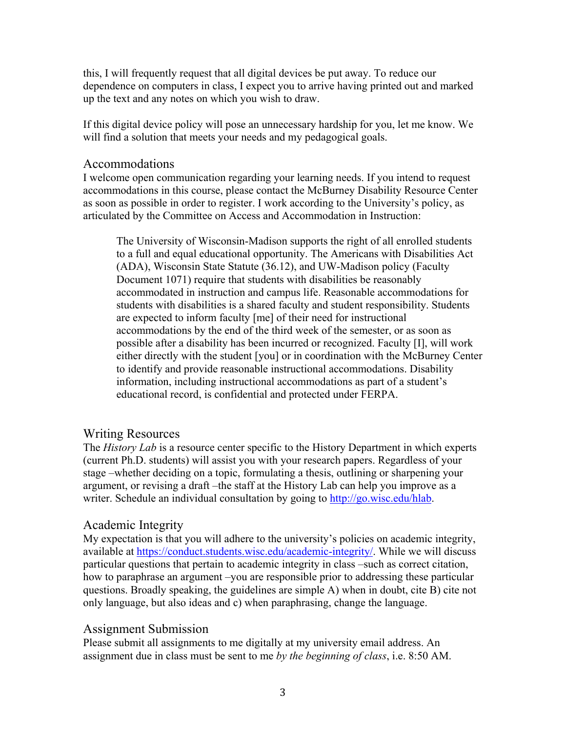this, I will frequently request that all digital devices be put away. To reduce our dependence on computers in class, I expect you to arrive having printed out and marked up the text and any notes on which you wish to draw.

If this digital device policy will pose an unnecessary hardship for you, let me know. We will find a solution that meets your needs and my pedagogical goals.

#### Accommodations

I welcome open communication regarding your learning needs. If you intend to request accommodations in this course, please contact the McBurney Disability Resource Center as soon as possible in order to register. I work according to the University's policy, as articulated by the Committee on Access and Accommodation in Instruction:

The University of Wisconsin-Madison supports the right of all enrolled students to a full and equal educational opportunity. The Americans with Disabilities Act (ADA), Wisconsin State Statute (36.12), and UW-Madison policy (Faculty Document 1071) require that students with disabilities be reasonably accommodated in instruction and campus life. Reasonable accommodations for students with disabilities is a shared faculty and student responsibility. Students are expected to inform faculty [me] of their need for instructional accommodations by the end of the third week of the semester, or as soon as possible after a disability has been incurred or recognized. Faculty [I], will work either directly with the student [you] or in coordination with the McBurney Center to identify and provide reasonable instructional accommodations. Disability information, including instructional accommodations as part of a student's educational record, is confidential and protected under FERPA.

# Writing Resources

The *History Lab* is a resource center specific to the History Department in which experts (current Ph.D. students) will assist you with your research papers. Regardless of your stage –whether deciding on a topic, formulating a thesis, outlining or sharpening your argument, or revising a draft –the staff at the History Lab can help you improve as a writer. Schedule an individual consultation by going to http://go.wisc.edu/hlab.

### Academic Integrity

My expectation is that you will adhere to the university's policies on academic integrity, available at https://conduct.students.wisc.edu/academic-integrity/. While we will discuss particular questions that pertain to academic integrity in class –such as correct citation, how to paraphrase an argument –you are responsible prior to addressing these particular questions. Broadly speaking, the guidelines are simple A) when in doubt, cite B) cite not only language, but also ideas and c) when paraphrasing, change the language.

### Assignment Submission

Please submit all assignments to me digitally at my university email address. An assignment due in class must be sent to me *by the beginning of class*, i.e. 8:50 AM.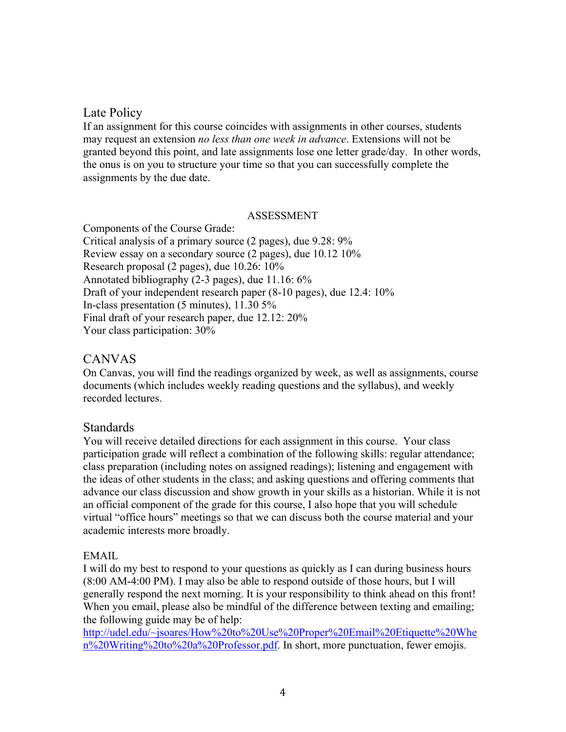## Late Policy

If an assignment for this course coincides with assignments in other courses, students may request an extension *no less than one week in advance*. Extensions will not be granted beyond this point, and late assignments lose one letter grade/day. In other words, the onus is on you to structure your time so that you can successfully complete the assignments by the due date.

#### ASSESSMENT

Components of the Course Grade: Critical analysis of a primary source (2 pages), due 9.28: 9% Review essay on a secondary source (2 pages), due 10.12 10% Research proposal (2 pages), due 10.26: 10% Annotated bibliography (2-3 pages), due 11.16: 6% Draft of your independent research paper (8-10 pages), due 12.4: 10% In-class presentation (5 minutes), 11.30 5% Final draft of your research paper, due 12.12: 20% Your class participation: 30%

### CANVAS

On Canvas, you will find the readings organized by week, as well as assignments, course documents (which includes weekly reading questions and the syllabus), and weekly recorded lectures.

### **Standards**

You will receive detailed directions for each assignment in this course. Your class participation grade will reflect a combination of the following skills: regular attendance; class preparation (including notes on assigned readings); listening and engagement with the ideas of other students in the class; and asking questions and offering comments that advance our class discussion and show growth in your skills as a historian. While it is not an official component of the grade for this course, I also hope that you will schedule virtual "office hours" meetings so that we can discuss both the course material and your academic interests more broadly.

#### EMAIL

I will do my best to respond to your questions as quickly as I can during business hours (8:00 AM-4:00 PM). I may also be able to respond outside of those hours, but I will generally respond the next morning. It is your responsibility to think ahead on this front! When you email, please also be mindful of the difference between texting and emailing; the following guide may be of help:

http://udel.edu/~jsoares/How%20to%20Use%20Proper%20Email%20Etiquette%20Whe n%20Writing%20to%20a%20Professor.pdf. In short, more punctuation, fewer emojis.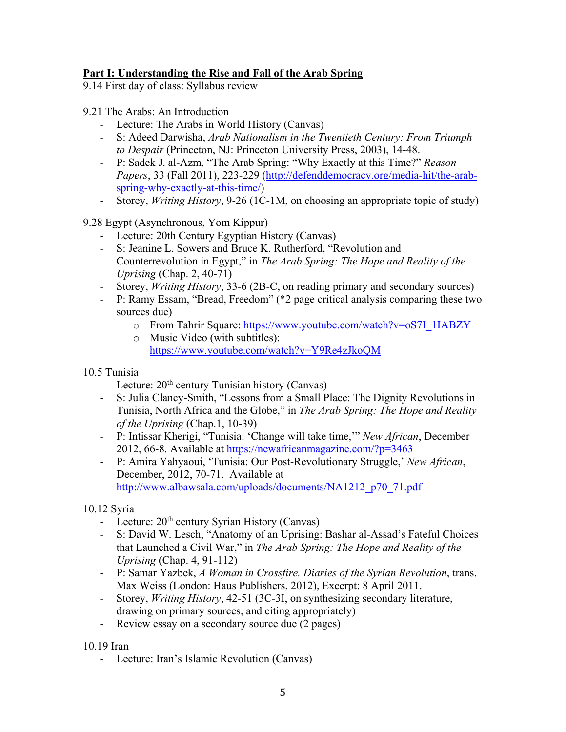### **Part I: Understanding the Rise and Fall of the Arab Spring**

9.14 First day of class: Syllabus review

9.21 The Arabs: An Introduction

- Lecture: The Arabs in World History (Canvas)
- S: Adeed Darwisha, *Arab Nationalism in the Twentieth Century: From Triumph to Despair* (Princeton, NJ: Princeton University Press, 2003), 14-48.
- P: Sadek J. al-Azm, "The Arab Spring: "Why Exactly at this Time?" *Reason Papers*, 33 (Fall 2011), 223-229 (http://defenddemocracy.org/media-hit/the-arabspring-why-exactly-at-this-time/)
- Storey, *Writing History*, 9-26 (1C-1M, on choosing an appropriate topic of study)

### 9.28 Egypt (Asynchronous, Yom Kippur)

- Lecture: 20th Century Egyptian History (Canvas)
- S: Jeanine L. Sowers and Bruce K. Rutherford, "Revolution and Counterrevolution in Egypt," in *The Arab Spring: The Hope and Reality of the Uprising* (Chap. 2, 40-71)
- Storey, *Writing History*, 33-6 (2B-C, on reading primary and secondary sources)
- P: Ramy Essam, "Bread, Freedom" (\*2 page critical analysis comparing these two sources due)
	- o From Tahrir Square: https://www.youtube.com/watch?v=oS7I\_1IABZY
	- o Music Video (with subtitles): https://www.youtube.com/watch?v=Y9Re4zJkoQM

10.5 Tunisia

- Lecture:  $20<sup>th</sup>$  century Tunisian history (Canvas)
- S: Julia Clancy-Smith, "Lessons from a Small Place: The Dignity Revolutions in Tunisia, North Africa and the Globe," in *The Arab Spring: The Hope and Reality of the Uprising* (Chap.1, 10-39)
- P: Intissar Kherigi, "Tunisia: 'Change will take time,'" *New African*, December 2012, 66-8. Available at https://newafricanmagazine.com/?p=3463
- P: Amira Yahyaoui, 'Tunisia: Our Post-Revolutionary Struggle,' *New African*, December, 2012, 70-71. Available at http://www.albawsala.com/uploads/documents/NA1212\_p70\_71.pdf

10.12 Syria

- Lecture:  $20<sup>th</sup>$  century Syrian History (Canvas)
- S: David W. Lesch, "Anatomy of an Uprising: Bashar al-Assad's Fateful Choices that Launched a Civil War," in *The Arab Spring: The Hope and Reality of the Uprising* (Chap. 4, 91-112)
- P: Samar Yazbek, *A Woman in Crossfire. Diaries of the Syrian Revolution*, trans. Max Weiss (London: Haus Publishers, 2012), Excerpt: 8 April 2011.
- Storey, *Writing History*, 42-51 (3C-3I, on synthesizing secondary literature, drawing on primary sources, and citing appropriately)
- Review essay on a secondary source due (2 pages)

10.19 Iran

- Lecture: Iran's Islamic Revolution (Canvas)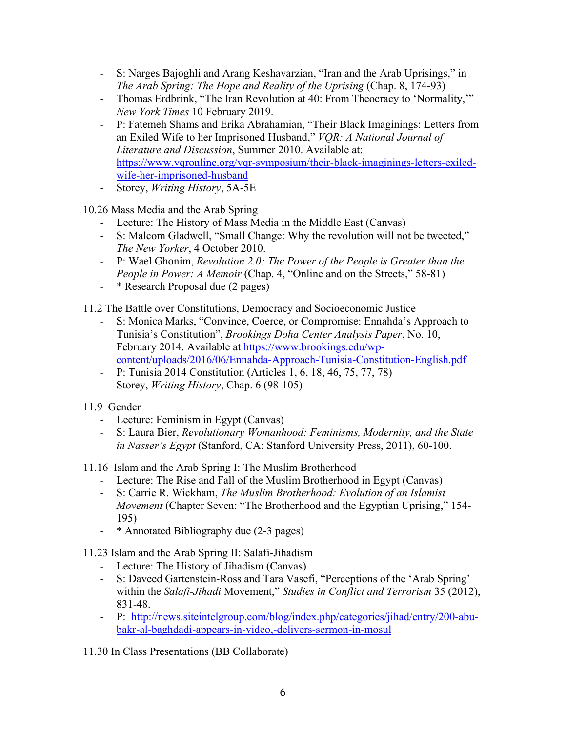- S: Narges Bajoghli and Arang Keshavarzian, "Iran and the Arab Uprisings," in *The Arab Spring: The Hope and Reality of the Uprising (Chap. 8, 174-93)*
- Thomas Erdbrink, "The Iran Revolution at 40: From Theocracy to 'Normality,'" *New York Times* 10 February 2019.
- P: Fatemeh Shams and Erika Abrahamian, "Their Black Imaginings: Letters from an Exiled Wife to her Imprisoned Husband," *VQR: A National Journal of Literature and Discussion*, Summer 2010. Available at: https://www.vqronline.org/vqr-symposium/their-black-imaginings-letters-exiledwife-her-imprisoned-husband
- Storey, *Writing History*, 5A-5E

10.26 Mass Media and the Arab Spring

- Lecture: The History of Mass Media in the Middle East (Canvas)
- S: Malcom Gladwell, "Small Change: Why the revolution will not be tweeted," *The New Yorker*, 4 October 2010.
- P: Wael Ghonim, *Revolution 2.0: The Power of the People is Greater than the People in Power: A Memoir* (Chap. 4, "Online and on the Streets," 58-81)
- \* Research Proposal due (2 pages)

11.2 The Battle over Constitutions, Democracy and Socioeconomic Justice

- S: Monica Marks, "Convince, Coerce, or Compromise: Ennahda's Approach to Tunisia's Constitution", *Brookings Doha Center Analysis Paper*, No. 10, February 2014. Available at https://www.brookings.edu/wpcontent/uploads/2016/06/Ennahda-Approach-Tunisia-Constitution-English.pdf
- P: Tunisia 2014 Constitution (Articles 1, 6, 18, 46, 75, 77, 78)
- Storey, *Writing History*, Chap. 6 (98-105)
- 11.9 Gender
	- Lecture: Feminism in Egypt (Canvas)
	- S: Laura Bier, *Revolutionary Womanhood: Feminisms, Modernity, and the State in Nasser's Egypt* (Stanford, CA: Stanford University Press, 2011), 60-100.

11.16 Islam and the Arab Spring I: The Muslim Brotherhood

- Lecture: The Rise and Fall of the Muslim Brotherhood in Egypt (Canvas)
- S: Carrie R. Wickham, *The Muslim Brotherhood: Evolution of an Islamist Movement* (Chapter Seven: "The Brotherhood and the Egyptian Uprising," 154- 195)
- \* Annotated Bibliography due (2-3 pages)

11.23 Islam and the Arab Spring II: Salafi-Jihadism

- Lecture: The History of Jihadism (Canvas)
- S: Daveed Gartenstein-Ross and Tara Vasefi, "Perceptions of the 'Arab Spring' within the *Salafi-Jihadi* Movement," *Studies in Conflict and Terrorism* 35 (2012), 831-48.
- P: http://news.siteintelgroup.com/blog/index.php/categories/jihad/entry/200-abubakr-al-baghdadi-appears-in-video,-delivers-sermon-in-mosul

11.30 In Class Presentations (BB Collaborate)